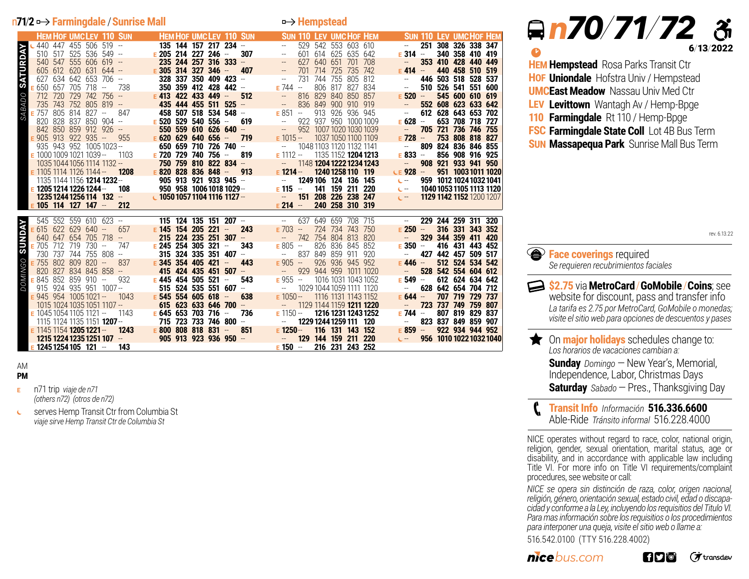## n**71**/**2 Farmingdale** /**Sunrise Mall Hempstead**

<sup>b</sup> *n 70/71/72*

**HEM Hempstead** Rosa Parks Transit Ctr **HOF Uniondale** Hofstra Univ / Hempstead **UMC East Meadow** Nassau Univ Med Ctr **LEV Levittown** Wantagh Av / Hemp-Bpge **110 Farmingdale** Rt 110 / Hemp-Bpge

**FSC Farmingdale State Coll** Lot 4B Bus Term **SUN Massapequa Park** Sunrise Mall Bus Term

*bus.com*

procedures, see website or call:

*<u>A* Face coverings required</u>

*Se requieren recubrimientos faciales*

**The On major holidays** schedules change to: *Los horarios de vacaciones cambian a:* 

**\$2.75** via**MetroCard**/**GoMobile**/**Coins**; see website for discount, pass and transfer info *La tarifa es 2.75 por MetroCard, GoMobile o monedas; visite el sitio web para opciones de descuentos y pases* 

> **Sunday** Domingo – New Year's, Memorial, Independence, Labor, Christmas Days **Saturday** *Sabado* —Pres., Thanksgiving Day

516.542.0100 (TTY 516.228.4002)

NICE operates without regard to race, color, national origin, religion, gender, sexual orientation, marital status, age or disability, and in accordance with applicable law including Title VI. For more info on Title VI requirements/complaint

**Transit Info** *Información* **516.336.6600** Able-Ride *Tránsito informal* 516.228.4000 <sup>p</sup>

*NICE se opera sin distinción de raza, color, origen nacional, religión, género, orientación sexual, estado civil, edad o discapacidad y conforme a la Ley, incluyendo los requisitios del Titulo VI. Para mas información sobre los requisitios o los procedimientos para interponer una queja, visite el sitio web o llame a:*

i fiyi" oʻ

6/13/2022

rev. 6.13.22

(オtransdev

|                                                      | <b>HEM HOF UMCLEV 110 SUN HEM HOF UMCLEV 110 SUN</b>                                                                                                                  | <b>Example 110 Sun 110 Lev UMCHOF HEM</b>                                          | <b>SUN 110 LEV UMCHOF HEM</b>                     |
|------------------------------------------------------|-----------------------------------------------------------------------------------------------------------------------------------------------------------------------|------------------------------------------------------------------------------------|---------------------------------------------------|
| 440 447 455 506 519 --                               | 135 144 157 217 234 -                                                                                                                                                 | 529 542 553 603 610<br>$\sim$                                                      | 251 308 326 338 347<br>$\sim$                     |
| 510 517 525 536 549 -                                | E 205 214 227 246 -<br>307                                                                                                                                            | 601 614 625 635 642<br><b>Contract Contract</b>                                    | $E$ 314 $-$<br>340 358 410 419                    |
| 540 547 555 606 619 --                               | 235 244 257 316 333                                                                                                                                                   | 627 640 651 701 708<br>$\mathcal{L}_{\text{max}}$ , and $\mathcal{L}_{\text{max}}$ | 353 410 428 440 449<br>$\sim$                     |
| $605$ 612 620 631 644 -                              |                                                                                                                                                                       | 701 714 725 735 742                                                                | $E = 414 -$<br>440 458 510 519                    |
|                                                      | $E$ 305 314 327 346 - 407                                                                                                                                             | $\mathcal{L}_{\rm{max}}$ and $\mathcal{L}_{\rm{max}}$                              |                                                   |
| <b>SATURDAY</b><br>627 634 642 653 706 --            | $328$ 337 350 409 423 $-$                                                                                                                                             | 731 744 755 805 812                                                                | 446 503 518 528 537<br>$\sim$                     |
| $E$ 650 657 705 718 - 738                            | 350 359 412 428 442 -                                                                                                                                                 | $E$ 744 $-$<br>806 817 827 834                                                     | 510 526 541 551 600<br>$\sim$                     |
| SABADO                                               | 050 057 705 710<br>712 720 729 742 756 - <b>E 413 422 433 449 - 512</b><br>735 743 752 805 819 - <b>435 444 455 511 525</b> -                                         | $-816829840850857$                                                                 | $E$ 520 $-$<br>545 600 610 619                    |
|                                                      |                                                                                                                                                                       | $\sim$ $-$<br>836 849 900 910 919                                                  | 552 608 623 633 642<br>$\sim$                     |
| $E$ 757 805 814 827 -<br>847                         | 458 507 518 534 548 --                                                                                                                                                | $E851 -$<br>913 926 936 945                                                        | 612 628 643 653 702<br>$\sim$                     |
|                                                      | 820 828 837 850 904 - E 520 529 540 556 - 619                                                                                                                         | 922 937 950 1000 1009<br><b>Contract Contract</b>                                  | $E$ 628 $-$<br>653 708 718 727                    |
| 842 850 859 912 926 --                               | a na T<br>550 559 610 626 640 -                                                                                                                                       | $\sim 10^{11}$<br>952 1007 1020 1030 1039                                          | 705 721 736 746 755<br>$\sim$                     |
| $E$ 905 913 922 935 -- 955 $E$ 620 629 640 656 - 719 |                                                                                                                                                                       | $E$ 1015 -- 1037 1050 1100 1109                                                    | $E$ 728 $-$<br>753 808 818 827                    |
|                                                      | 935 943 952 10051023-- <b>650 659 710 726 740</b> -                                                                                                                   | -- 1048 1103 1120 1132 1141                                                        | 809 824 836 846 855<br>$\sim$                     |
| $E$ 1000 1009 1021 1039 --<br>1103                   | E 720 729 740 756 -                                                                                                                                                   | 1135 1152 <b>1204 1213</b>                                                         | $E$ 833 $-$<br>856 908 916 925                    |
|                                                      | 819                                                                                                                                                                   | $E$ 1112 $-$                                                                       |                                                   |
| 1035 1044 1056 1114 1132 --                          | 750 759 810 822 834 -                                                                                                                                                 | $-1148$ 1204 1222 1234 1243                                                        | 908 921 933 941 950<br>$\sim$                     |
| 1208<br>$E$ 1105 1114 1126 1144 -                    | $E$ 820 828 836 848 - 913                                                                                                                                             | $E = 1214 -$<br>1240 1258 110 119                                                  | $CE 928 -$<br>951 1003 1011 1020                  |
|                                                      | $1135$ 1144 1156 <b>1214 1232</b> – <b>905 913 921 933 945</b> – <b>1135 1144 1156 1214 1232</b> –                                                                    | 1249 106 124 136 145                                                               | 959 1012 1024 1032 1041<br>$C =$                  |
| $E$ 1205 1214 1226 1244 –                            | 108 950 958 1006 1018 1029 --                                                                                                                                         | $E = 115 -$<br>141 159 211 220                                                     | 1040 1053 1105 1113 1120<br>$C =$                 |
|                                                      | 1235 1244 1256 114 132 - 1050 1057 1104 1116 1127 - 151 208 226 238 247                                                                                               |                                                                                    | 1129 1142 1152 1200 1207<br>$C = 1$               |
| $E$ 105 114 127 147 - 212                            |                                                                                                                                                                       | $E 214 -$<br>240 258 310 319                                                       |                                                   |
|                                                      |                                                                                                                                                                       |                                                                                    |                                                   |
|                                                      | 545 552 559 610 623 - <b>115 124 135 151 207</b> - - 637 649 659 708 715                                                                                              |                                                                                    | $\overline{\phantom{a}}$ .<br>229 244 259 311 320 |
| $E$ 615 622 629 640 - 657                            | $E$ 145 154 205 221 - 243                                                                                                                                             | $E$ 703 $-$<br>724 734 743 750                                                     | $E$ 250 $-$<br>316 331 343 352                    |
| 640 647 654 705 718 - <b>215 224 235 251 307</b> -   |                                                                                                                                                                       |                                                                                    |                                                   |
|                                                      |                                                                                                                                                                       |                                                                                    |                                                   |
|                                                      |                                                                                                                                                                       | -- 742 754 804 813 820                                                             | 329 344 359 411 420<br>$\sim$                     |
| <b><i>SUNDAY</i></b><br>$E$ 705 712 719 730 -- 747   | E 245 254 305 321 -<br>343                                                                                                                                            | $E805 -$<br>826 836 845 852                                                        | $E$ 350 $-$<br>416 431 443 452                    |
|                                                      | 730 737 744 755 808 -- <b>315 324 335 351 407</b> --                                                                                                                  | -- 837 849 859 911 920                                                             | 427 442 457 509 517<br>$\sim$ $-$                 |
| $E$ 755 802 809 820 - 837                            | $E$ 345 354 405 421 -<br>443                                                                                                                                          | $E\ 905 -$<br>926 936 945 952                                                      | $E$ 446 $-$<br>512 524 534 542                    |
| 820 827 834 845 858 -                                | 415 424 435 451 507 -                                                                                                                                                 | -- 929 944 959 1011 1020                                                           | 528 542 554 604 612<br>$\sim 10^{-10}$            |
| $E$ 845 852 859 910 $-$<br>932                       | $E$ 445 454 505 521 -<br>543                                                                                                                                          | $E955 -$<br>1016 1031 1043 1052                                                    | $E$ 549 $-$<br>612 624 634 642                    |
| <b>OMINGO</b><br>ă                                   | 915 924 935 951 1007-- <b>515 524 535 551 607</b> -                                                                                                                   | -- 1029 1044 1059 1111 1120                                                        | 628 642 654 704 712<br>$\sim 10^{-11}$            |
| $E$ 945 954 1005 1021 --<br>1043                     | 638                                                                                                                                                                   | $E$ 1050 $-$<br>1116 1131 1143 1152                                                | $E 644 -$<br>707 719 729 737                      |
| 1015 1024 1035 1051 1107 --                          | E 545 554 605 618 -                                                                                                                                                   |                                                                                    | 723 737 749 759 807<br>$\sim$                     |
|                                                      | 615 623 633 646 700 -                                                                                                                                                 | $- 11291144115912111220$                                                           | $E$ 744 $-$<br>807 819 829 837                    |
| $E$ 1045 1054 1105 1121 --<br>1143                   | E 645 653 703 716 -<br>736                                                                                                                                            | $E$ 1150 $-$ 1216 1231 1243 1252                                                   | $\sim 100$                                        |
|                                                      | 1115 1124 1135 1151 <b>1207 - 715 723 733 746 800 - 7 1229 1244 1259 111 120</b>                                                                                      |                                                                                    | 823 837 849 859 907                               |
|                                                      |                                                                                                                                                                       |                                                                                    | $E$ 859 - 922 934 944 952                         |
| $E$ 1245 1254 105 121 - 143                          | $E$ 1145 1154 <b>1205 1221 -</b> 1243 $E$ 800 808 818 831 - 851 $E$ 1250 - 116 131 143 152<br>1215 1224 1235 1251 107 - 905 913 923 936 950 - - - 129 144 159 211 220 | 216 231 243 252<br>$E = 150$ –                                                     | 956 1010 1022 1032 1040<br>$C = 1$                |

AM

**PM**

- **<sup>E</sup>** n71 trip *viaje de n71 (others n72) (otros de n72)*
- serves Hemp Transit Ctr from Columbia St Ċ *viaje sirve Hemp Transit Ctr de Columbia St*